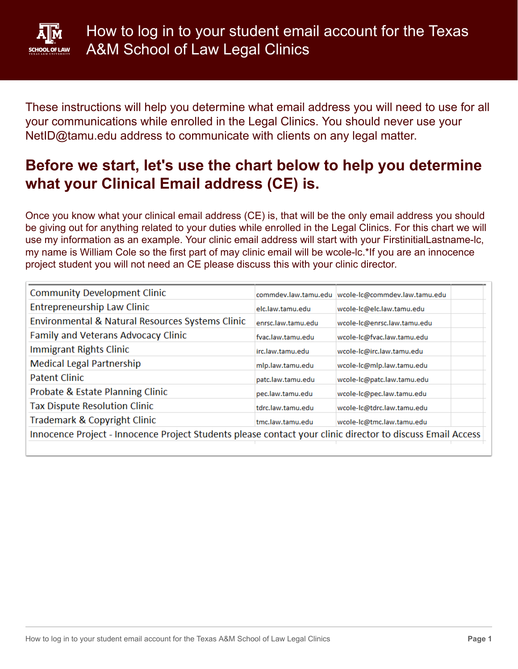

These instructions will help you determine what email address you will need to use for all your communications while enrolled in the Legal Clinics. You should never use your NetID@tamu.edu address to communicate with clients on any legal matter.

### **Before we start, let's use the chart below to help you determine what your Clinical Email address (CE) is.**

Once you know what your clinical email address (CE) is, that will be the only email address you should be giving out for anything related to your duties while enrolled in the Legal Clinics. For this chart we will use my information as an example. Your clinic email address will start with your FirstinitialLastname-lc, my name is William Cole so the first part of may clinic email will be wcole-lc.\*If you are an innocence project student you will not need an CE please discuss this with your clinic director.

| <b>Community Development Clinic</b>                                                                        |                    | commdev.law.tamu.edu  wcole-lc@commdev.law.tamu.edu |  |
|------------------------------------------------------------------------------------------------------------|--------------------|-----------------------------------------------------|--|
| <b>Entrepreneurship Law Clinic</b>                                                                         | elc.law.tamu.edu   | wcole-Ic@elc.law.tamu.edu                           |  |
| Environmental & Natural Resources Systems Clinic                                                           | enrsc.law.tamu.edu | wcole-Ic@enrsc.law.tamu.edu                         |  |
| Family and Veterans Advocacy Clinic                                                                        | fvac.law.tamu.edu  | wcole-Ic@fvac.law.tamu.edu                          |  |
| Immigrant Rights Clinic                                                                                    | irc.law.tamu.edu   | wcole-Ic@irc.law.tamu.edu                           |  |
| <b>Medical Legal Partnership</b>                                                                           | mlp.law.tamu.edu   | wcole-Ic@mlp.law.tamu.edu                           |  |
| <b>Patent Clinic</b>                                                                                       | patc.law.tamu.edu  | wcole-lc@patc.law.tamu.edu                          |  |
| Probate & Estate Planning Clinic                                                                           | pec.law.tamu.edu   | wcole-Ic@pec.law.tamu.edu                           |  |
| <b>Tax Dispute Resolution Clinic</b>                                                                       | tdrc.law.tamu.edu  | wcole-lc@tdrc.law.tamu.edu                          |  |
| Trademark & Copyright Clinic                                                                               | tmc.law.tamu.edu   | wcole-lc@tmc.law.tamu.edu                           |  |
| Innocence Project - Innocence Project Students please contact your clinic director to discuss Email Access |                    |                                                     |  |
|                                                                                                            |                    |                                                     |  |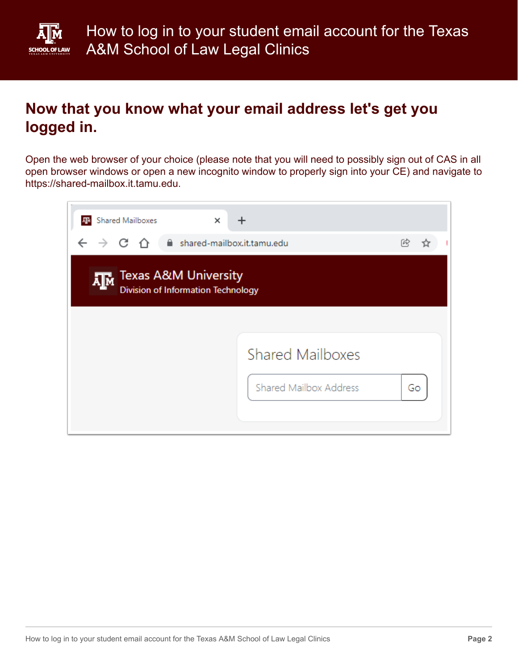

## **Now that you know what your email address let's get you logged in.**

Open the web browser of your choice (please note that you will need to possibly sign out of CAS in all open browser windows or open a new incognito window to properly sign into your CE) and navigate to https://shared-mailbox.it.tamu.edu.

| <b>Shared Mailboxes</b><br>×                                                |                              |
|-----------------------------------------------------------------------------|------------------------------|
| $\leftarrow$ $\rightarrow$ C $\leftarrow$<br>shared-mailbox.it.tamu.edu     | 网                            |
| <b>Texas A&amp;M University</b><br>Д™<br>Division of Information Technology |                              |
|                                                                             |                              |
|                                                                             | <b>Shared Mailboxes</b>      |
|                                                                             | Shared Mailbox Address<br>Go |
|                                                                             |                              |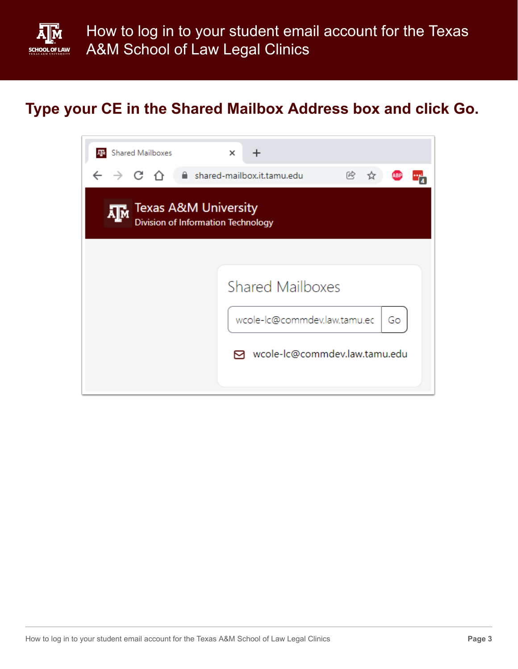

## **Type your CE in the Shared Mailbox Address box and click Go.**

| <b>Shared Mailboxes</b>                                                     | $\times$                                                                                         |  |  |  |  |
|-----------------------------------------------------------------------------|--------------------------------------------------------------------------------------------------|--|--|--|--|
| $\leftarrow$ $\rightarrow$ C A                                              | ■ shared-mailbox.it.tamu.edu<br>网                                                                |  |  |  |  |
| <b>Texas A&amp;M University</b><br>Д™<br>Division of Information Technology |                                                                                                  |  |  |  |  |
|                                                                             | <b>Shared Mailboxes</b><br>wcole-lc@commdev.law.tamu.ec<br>Go<br>⊠ wcole-lc@commdev.law.tamu.edu |  |  |  |  |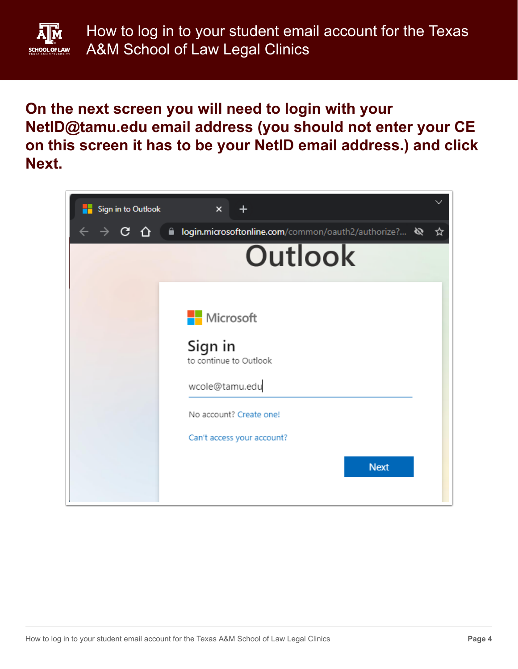

**On the next screen you will need to login with your NetID@tamu.edu email address (you should not enter your CE on this screen it has to be your NetID email address.) and click Next.**

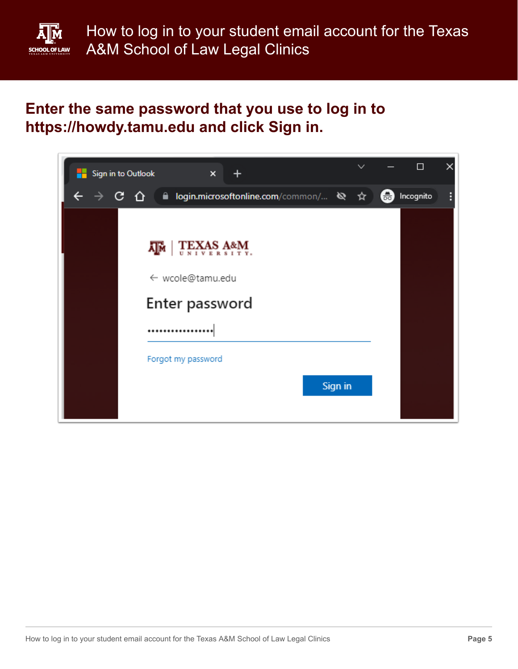

#### **Enter the same password that you use to log in to https://howdy.tamu.edu and click Sign in.**

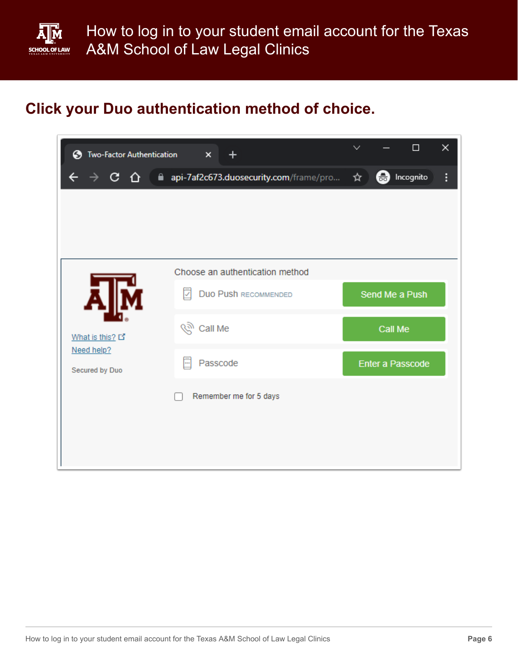

# **Click your Duo authentication method of choice.**

| Two-Factor Authentication<br>❸ | +<br>$\times$                          |     |         | $\Box$           | × |
|--------------------------------|----------------------------------------|-----|---------|------------------|---|
| C<br>⇧                         | api-7af2c673.duosecurity.com/frame/pro | ☆ 』 | ❸       | Incognito        | ፧ |
|                                |                                        |     |         |                  |   |
|                                |                                        |     |         |                  |   |
|                                |                                        |     |         |                  |   |
|                                | Choose an authentication method        |     |         |                  |   |
|                                | Duo Push RECOMMENDED<br>M              |     |         | Send Me a Push   |   |
| What is this? 다                | (२) Call Me                            |     | Call Me |                  |   |
| Need help?<br>Secured by Duo   | Passcode<br>m                          |     |         | Enter a Passcode |   |
|                                | Remember me for 5 days                 |     |         |                  |   |
|                                |                                        |     |         |                  |   |
|                                |                                        |     |         |                  |   |
|                                |                                        |     |         |                  |   |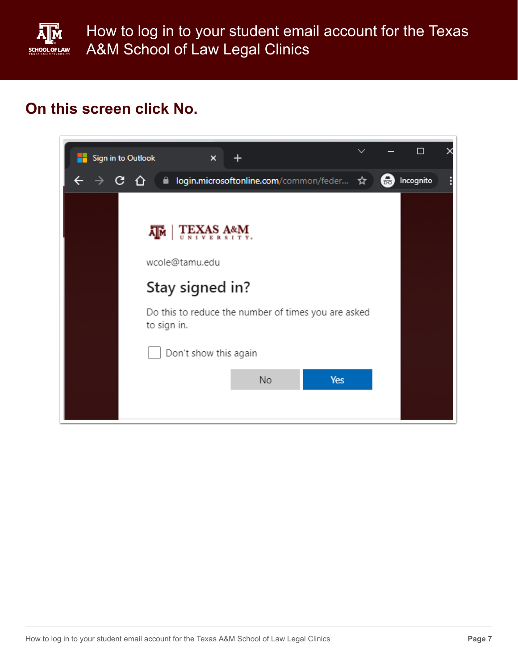

How to log in to your student email account for the Texas A&M School of Law Legal Clinics

# **On this screen click No.**

| Sign in to Outlook<br>$\boldsymbol{\mathsf{x}}$                    | $\checkmark$ |    | П         |  |
|--------------------------------------------------------------------|--------------|----|-----------|--|
| ill login.microsoftonline.com/common/feder ☆                       |              | 60 | Incognito |  |
|                                                                    |              |    |           |  |
| <b>TEXAS A&amp;M</b><br>ДM                                         |              |    |           |  |
| wcole@tamu.edu                                                     |              |    |           |  |
| Stay signed in?                                                    |              |    |           |  |
| Do this to reduce the number of times you are asked<br>to sign in. |              |    |           |  |
| Don't show this again                                              |              |    |           |  |
| No                                                                 | Yes          |    |           |  |
|                                                                    |              |    |           |  |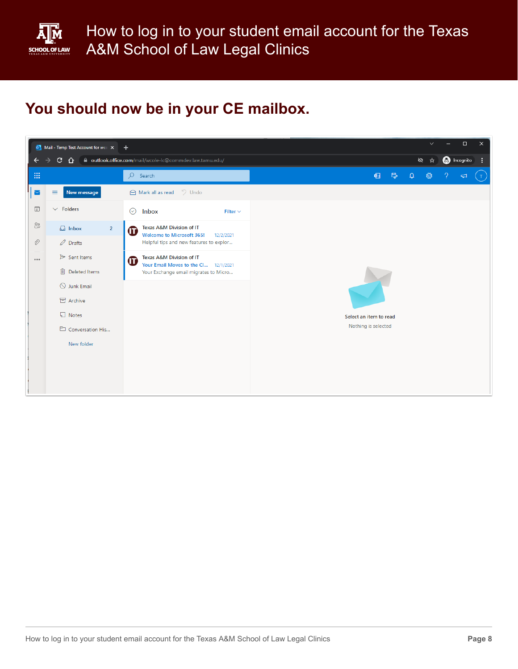

# **You should now be in your CE mailbox.**